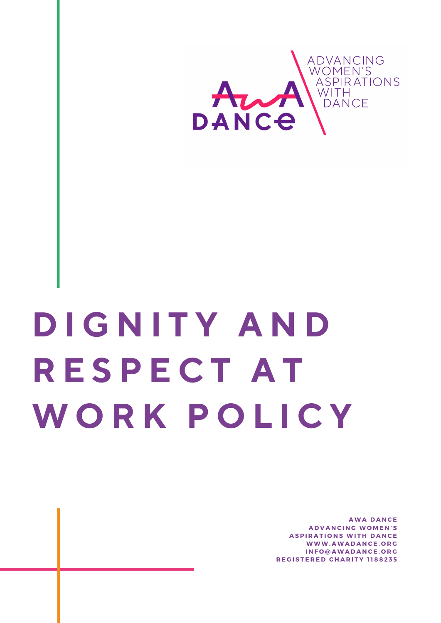

# **D I G N I T Y A N D R E S P E C T A T W O R K P O L I C Y**

**A W A D A N C E A D V A N C I N G W O M E N ' S ASPIRATIONS WITH DANCE W W W . A W A D A N C E . O R G I N F O @ A W A D A N C E . O R G R E G I S T E R E D C H A R I T Y 1 1 8 8 2 3 5**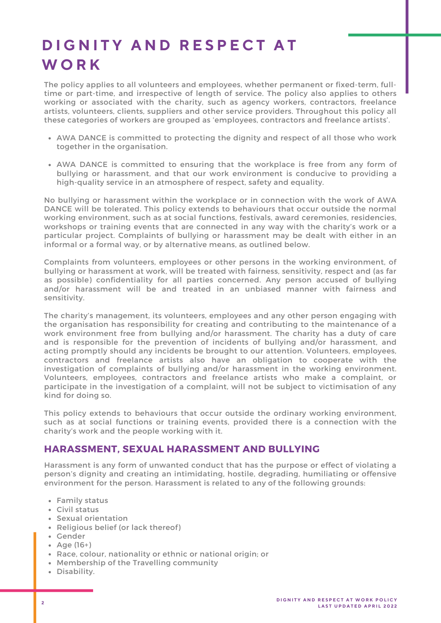# **D I G N I T Y A N D R E S P E C T A T W O R K**

The policy applies to all volunteers and employees, whether permanent or fixed-term, fulltime or part-time, and irrespective of length of service. The policy also applies to others working or associated with the charity, such as agency workers, contractors, freelance artists, volunteers, clients, suppliers and other service providers. Throughout this policy all these categories of workers are grouped as 'employees, contractors and freelance artists' .

- AWA DANCE is committed to protecting the dignity and respect of all those who work together in the organisation.
- AWA DANCE is committed to ensuring that the workplace is free from any form of bullying or harassment, and that our work environment is conducive to providing a high-quality service in an atmosphere of respect, safety and equality.

No bullying or harassment within the workplace or in connection with the work of AWA DANCE will be tolerated. This policy extends to behaviours that occur outside the normal working environment, such as at social functions, festivals, award ceremonies, residencies, workshops or training events that are connected in any way with the charity's work or a particular project. Complaints of bullying or harassment may be dealt with either in an informal or a formal way, or by alternative means, as outlined below.

Complaints from volunteers, employees or other persons in the working environment, of bullying or harassment at work, will be treated with fairness, sensitivity, respect and (as far as possible) confidentiality for all parties concerned. Any person accused of bullying and/or harassment will be and treated in an unbiased manner with fairness and sensitivity.

The charity's management, its volunteers, employees and any other person engaging with the organisation has responsibility for creating and contributing to the maintenance of a work environment free from bullying and/or harassment. The charity has a duty of care and is responsible for the prevention of incidents of bullying and/or harassment, and acting promptly should any incidents be brought to our attention. Volunteers, employees, contractors and freelance artists also have an obligation to cooperate with the investigation of complaints of bullying and/or harassment in the working environment. Volunteers, employees, contractors and freelance artists who make a complaint, or participate in the investigation of a complaint, will not be subject to victimisation of any kind for doing so.

This policy extends to behaviours that occur outside the ordinary working environment, such as at social functions or training events, provided there is a connection with the charity's work and the people working with it.

## **HARASSMENT, SEXUAL HARASSMENT AND BULLYING**

Harassment is any form of unwanted conduct that has the purpose or effect of violating a person's dignity and creating an intimidating, hostile, degrading, humiliating or offensive environment for the person. Harassment is related to any of the following grounds:

- Family status
- Civil status
- Sexual orientation
- Religious belief (or lack thereof)
- Gender
- Age (16+)
- Race, colour, nationality or ethnic or national origin; or
- Membership of the Travelling community
- Disability.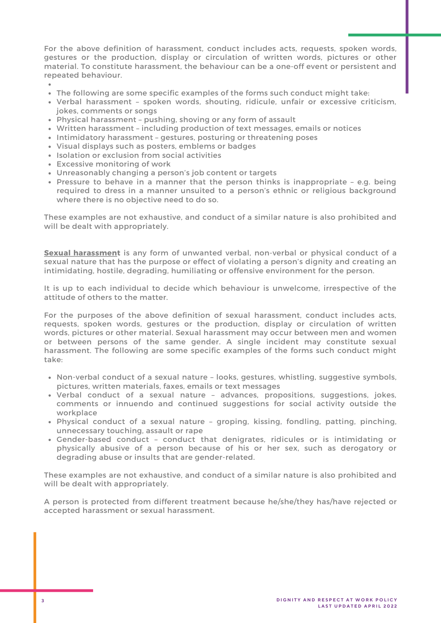For the above definition of harassment, conduct includes acts, requests, spoken words, gestures or the production, display or circulation of written words, pictures or other material. To constitute harassment, the behaviour can be a one-off event or persistent and repeated behaviour.

- The following are some specific examples of the forms such conduct might take:
- Verbal harassment spoken words, shouting, ridicule, unfair or excessive criticism,<br>jokes, comments or songs okes, comments or songs
- Physical harassment pushing, shoving or any form of assault
- Written harassment including production of text messages, emails or notices
- Intimidatory harassment gestures, posturing or threatening poses
- Visual displays such as posters, emblems or badges
- Isolation or exclusion from social activities
- Excessive monitoring of work
- Unreasonably changing a person's job content or targets
- Pressure to behave in a manner that the person thinks is inappropriate e.g. being required to dress in a manner unsuited to a person's ethnic or religious background where there is no objective need to do so.

These examples are not exhaustive, and conduct of a similar nature is also prohibited and will be dealt with appropriately.

<u>Sexual harassmen</u>t is any form of unwanted verbal, non-verbal or physical conduct of a sexual nature that has the purpose or effect of violating a person's dignity and creating an intimidating, hostile, degrading, humiliating or offensive environment for the person.

It is up to each individual to decide which behaviour is unwelcome, irrespective of the attitude of others to the matter.

For the purposes of the above definition of sexual harassment, conduct includes acts, requests, spoken words, gestures or the production, display or circulation of written words, pictures or other material. Sexual harassment may occur between men and women or between persons of the same gender. A single incident may constitute sexual harassment. The following are some specific examples of the forms such conduct might take:

- Non-verbal conduct of a sexual nature looks, gestures, whistling, suggestive symbols, pictures, written materials, faxes, emails or text messages
- Verbal conduct of a sexual nature advances, propositions, suggestions, jokes, comments or innuendo and continued suggestions for social activity outside the workplace
- Physical conduct of a sexual nature groping, kissing, fondling, patting, pinching, unnecessary touching, assault or rape
- Gender-based conduct conduct that denigrates, ridicules or is intimidating or physically abusive of a person because of his or her sex, such as derogatory or degrading abuse or insults that are gender-related.

These examples are not exhaustive, and conduct of a similar nature is also prohibited and will be dealt with appropriately.

A person is protected from different treatment because he/she/they has/have rejected or accepted harassment or sexual harassment.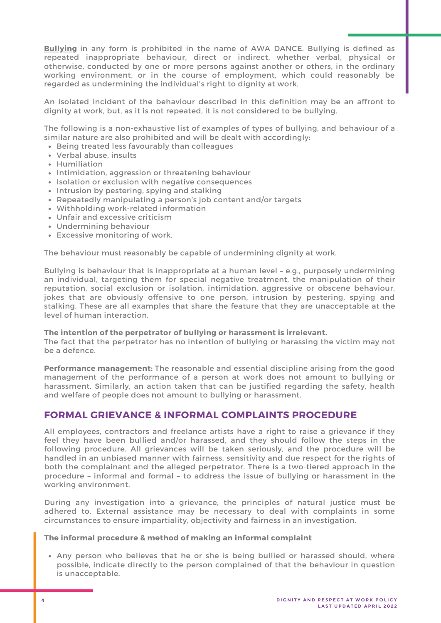**Bullying** in any form is prohibited in the name of AWA DANCE. Bullying is defined as repeated inappropriate behaviour, direct or indirect, whether verbal, physical or otherwise, conducted by one or more persons against another or others, in the ordinary working environment, or in the course of employment, which could reasonably be regarded as undermining the individual's right to dignity at work.

An isolated incident of the behaviour described in this definition may be an affront to dignity at work, but, as it is not repeated, it is not considered to be bullying.

The following is a non-exhaustive list of examples of types of bullying, and behaviour of a similar nature are also prohibited and will be dealt with accordingly:

- Being treated less favourably than colleagues
- Verbal abuse, insults
- Humiliation
- Intimidation, aggression or threatening behaviour
- Isolation or exclusion with negative consequences
- Intrusion by pestering, spying and stalking
- Repeatedly manipulating a person's job content and/or targets
- Withholding work-related information
- Unfair and excessive criticism
- Undermining behaviour
- Excessive monitoring of work.

The behaviour must reasonably be capable of undermining dignity at work.

Bullying is behaviour that is inappropriate at a human level – e.g., purposely undermining an individual, targeting them for special negative treatment, the manipulation of their reputation, social exclusion or isolation, intimidation, aggressive or obscene behaviour, jokes that are obviously offensive to one person, intrusion by pestering, spying and stalking. These are all examples that share the feature that they are unacceptable at the level of human interaction.

#### **The intention of the perpetrator of bullying or harassment is irrelevant.**

The fact that the perpetrator has no intention of bullying or harassing the victim may not be a defence.

**Performance management:** The reasonable and essential discipline arising from the good management of the performance of a person at work does not amount to bullying or harassment. Similarly, an action taken that can be justified regarding the safety, health and welfare of people does not amount to bullying or harassment.

### **FORMAL GRIEVANCE & INFORMAL COMPLAINTS PROCEDURE**

All employees, contractors and freelance artists have a right to raise a grievance if they feel they have been bullied and/or harassed, and they should follow the steps in the following procedure. All grievances will be taken seriously, and the procedure will be handled in an unbiased manner with fairness, sensitivity and due respect for the rights of both the complainant and the alleged perpetrator. There is a two-tiered approach in the procedure – informal and formal – to address the issue of bullying or harassment in the working environment.

During any investigation into a grievance, the principles of natural justice must be adhered to. External assistance may be necessary to deal with complaints in some circumstances to ensure impartiality, objectivity and fairness in an investigation.

#### **The informal procedure & method of making an informal complaint**

Any person who believes that he or she is being bullied or harassed should, where possible, indicate directly to the person complained of that the behaviour in question is unacceptable.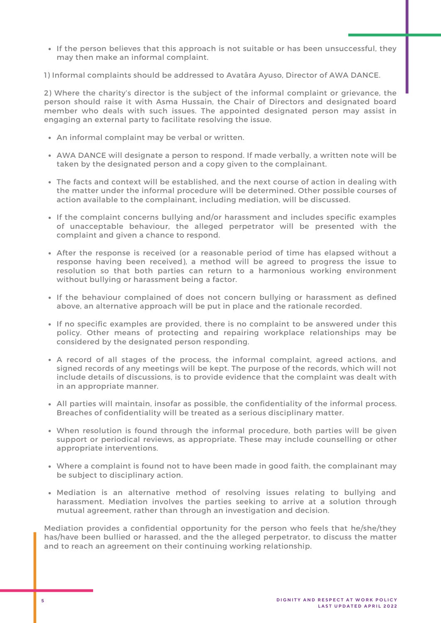If the person believes that this approach is not suitable or has been unsuccessful, they may then make an informal complaint.

1) Informal complaints should be addressed to Avatâra Ayuso, Director of AWA DANCE.

2) Where the charity's director is the subject of the informal complaint or grievance, the person should raise it with Asma Hussain, the Chair of Directors and designated board member who deals with such issues. The appointed designated person may assist in engaging an external party to facilitate resolving the issue.

- An informal complaint may be verbal or written.
- AWA DANCE will designate a person to respond. If made verbally, a written note will be taken by the designated person and a copy given to the complainant.
- The facts and context will be established, and the next course of action in dealing with the matter under the informal procedure will be determined. Other possible courses of action available to the complainant, including mediation, will be discussed.
- If the complaint concerns bullying and/or harassment and includes specific examples of unacceptable behaviour, the alleged perpetrator will be presented with the complaint and given a chance to respond.
- After the response is received (or a reasonable period of time has elapsed without a response having been received), a method will be agreed to progress the issue to resolution so that both parties can return to a harmonious working environment without bullying or harassment being a factor.
- If the behaviour complained of does not concern bullying or harassment as defined above, an alternative approach will be put in place and the rationale recorded.
- If no specific examples are provided, there is no complaint to be answered under this policy. Other means of protecting and repairing workplace relationships may be considered by the designated person responding.
- A record of all stages of the process, the informal complaint, agreed actions, and signed records of any meetings will be kept. The purpose of the records, which will not include details of discussions, is to provide evidence that the complaint was dealt with in an appropriate manner.
- All parties will maintain, insofar as possible, the confidentiality of the informal process. Breaches of confidentiality will be treated as a serious disciplinary matter.
- When resolution is found through the informal procedure, both parties will be given support or periodical reviews, as appropriate. These may include counselling or other appropriate interventions.
- Where a complaint is found not to have been made in good faith, the complainant may be subject to disciplinary action.
- Mediation is an alternative method of resolving issues relating to bullying and harassment. Mediation involves the parties seeking to arrive at a solution through mutual agreement, rather than through an investigation and decision.

Mediation provides a confidential opportunity for the person who feels that he/she/they has/have been bullied or harassed, and the the alleged perpetrator, to discuss the matter and to reach an agreement on their continuing working relationship.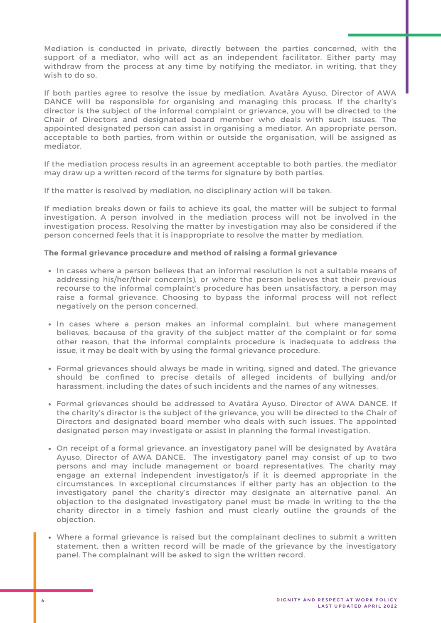Mediation is conducted in private, directly between the parties concerned, with the support of a mediator, who will act as an independent facilitator. Either party may withdraw from the process at any time by notifying the mediator, in writing, that they wish to do so.

If both parties agree to resolve the issue by mediation, Avatâra Ayuso, Director of AWA DANCE will be responsible for organising and managing this process. If the charity's director is the subject of the informal complaint or grievance, you will be directed to the Chair of Directors and designated board member who deals with such issues. The appointed designated person can assist in organising a mediator. An appropriate person, acceptable to both parties, from within or outside the organisation, will be assigned as mediator.

If the mediation process results in an agreement acceptable to both parties, the mediator may draw up a written record of the terms for signature by both parties.

If the matter is resolved by mediation, no disciplinary action will be taken.

If mediation breaks down or fails to achieve its goal, the matter will be subject to formal investigation. A person involved in the mediation process will not be involved in the investigation process. Resolving the matter by investigation may also be considered if the person concerned feels that it is inappropriate to resolve the matter by mediation.

#### The formal grievance procedure and method of raising a formal grievance

- In cases where a person believes that an informal resolution is not a suitable means of addressing his/her/their concern(s), or where the person believes that their previous recourse to the informal complaint's procedure has been unsatisfactory, a person may raise a formal grievance. Choosing to bypass the informal process will not reflect negatively on the person concerned.
- In cases where a person makes an informal complaint, but where management believes, because of the gravity of the subject matter of the complaint or for some other reason, that the informal complaints procedure is inadequate to address the issue, it may be dealt with by using the formal grievance procedure.
- Formal grievances should always be made in writing, signed and dated. The grievance should be confined to precise details of alleged incidents of bullying and/or harassment, including the dates of such incidents and the names of any witnesses.
- Formal grievances should be addressed to Avatâra Ayuso, Director of AWA DANCE. If the charity's director is the subject of the grievance, you will be directed to the Chair of Directors and designated board member who deals with such issues. The appointed designated person may investigate or assist in planning the formal investigation.
- On receipt of a formal grievance, an investigatory panel will be designated by Avatâra Ayuso, Director of AWA DANCE. The investigatory panel may consist of up to two persons and may include management or board representatives. The charity may engage an external independent investigator/s if it is deemed appropriate in the circumstances. In exceptional circumstances if either party has an objection to the investigatory panel the charity's director may designate an alternative panel. An objection to the designated investigatory panel must be made in writing to the the charity director in a timely fashion and must clearly outline the grounds of the objection.
- Where a formal grievance is raised but the complainant declines to submit a written statement, then a written record will be made of the grievance by the investigatory panel. The complainant will be asked to sign the written record.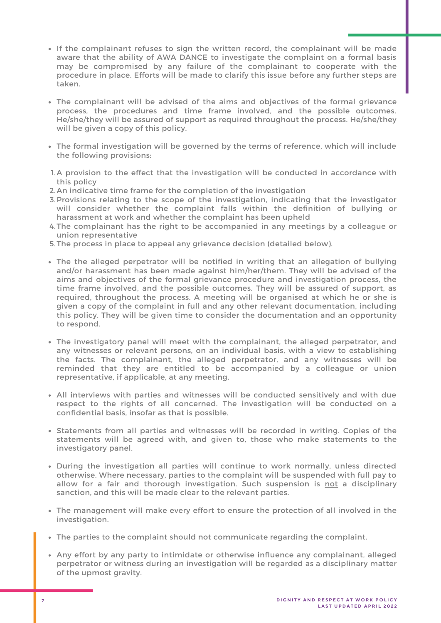- If the complainant refuses to sign the written record, the complainant will be made aware that the ability of AWA DANCE to investigate the complaint on a formal basis may be compromised by any failure of the complainant to cooperate with the procedure in place. Efforts will be made to clarify this issue before any further steps are taken.
- The complainant will be advised of the aims and objectives of the formal grievance process, the procedures and time frame involved, and the possible outcomes. He/she/they will be assured of support as required throughout the process. He/she/they will be given a copy of this policy.
- The formal investigation will be governed by the terms of reference, which will include the following provisions:
- 1.A provision to the effect that the investigation will be conducted in accordance with this policy
- 2. An indicative time frame for the completion of the investigation
- 3.Provisions relating to the scope of the investigation, indicating that the investigator will consider whether the complaint falls within the definition of bullying or harassment at work and whether the complaint has been upheld
- 4.The complainant has the right to be accompanied in any meetings by a colleague or union representative
- 5. The process in place to appeal any grievance decision (detailed below).
- The the alleged perpetrator will be notified in writing that an allegation of bullying and/or harassment has been made against him/her/them. They will be advised of the aims and objectives of the formal grievance procedure and investigation process, the time frame involved, and the possible outcomes. They will be assured of support, as required, throughout the process. A meeting will be organised at which he or she is given a copy of the complaint in full and any other relevant documentation, including this policy. They will be given time to consider the documentation and an opportunity to respond.
- The investigatory panel will meet with the complainant, the alleged perpetrator, and any witnesses or relevant persons, on an individual basis, with a view to establishing the facts. The complainant, the alleged perpetrator, and any witnesses will be reminded that they are entitled to be accompanied by a colleague or union representative, if applicable, at any meeting.
- All interviews with parties and witnesses will be conducted sensitively and with due respect to the rights of all concerned. The investigation will be conducted on a confidential basis, insofar as that is possible.
- Statements from all parties and witnesses will be recorded in writing. Copies of the statements will be agreed with, and given to, those who make statements to the investigatory panel.
- During the investigation all parties will continue to work normally, unless directed otherwise. Where necessary, parties to the complaint will be suspended with full pay to allow for a fair and thorough investigation. Such suspension is <u>not</u> a disciplinary sanction, and this will be made clear to the relevant parties.
- The management will make every effort to ensure the protection of all involved in the investigation.
- The parties to the complaint should not communicate regarding the complaint.
- Any effort by any party to intimidate or otherwise influence any complainant, alleged perpetrator or witness during an investigation will be regarded as a disciplinary matter of the upmost gravity.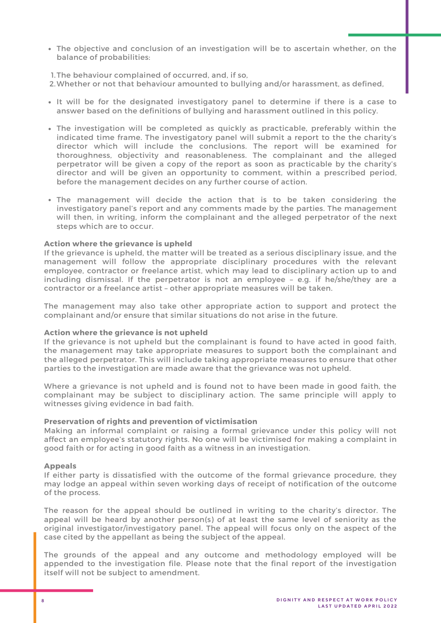- The objective and conclusion of an investigation will be to ascertain whether, on the balance of probabilities:
- 1. The behaviour complained of occurred, and, if so,
- 2.Whether or not that behaviour amounted to bullying and/or harassment, as defined,
- It will be for the designated investigatory panel to determine if there is a case to answer based on the definitions of bullying and harassment outlined in this policy.
- The investigation will be completed as quickly as practicable, preferably within the indicated time frame. The investigatory panel will submit a report to the the charity's director which will include the conclusions. The report will be examined for thoroughness, objectivity and reasonableness. The complainant and the alleged perpetrator will be given a copy of the report as soon as practicable by the charity's director and will be given an opportunity to comment, within a prescribed period, before the management decides on any further course of action.
- The management will decide the action that is to be taken considering the investigatory panel's report and any comments made by the parties. The management will then, in writing, inform the complainant and the alleged perpetrator of the next steps which are to occur.

#### Action where the grievance is upheld

If the grievance is upheld, the matter will be treated as a serious disciplinary issue, and the management will follow the appropriate disciplinary procedures with the relevant employee, contractor or freelance artist, which may lead to disciplinary action up to and including dismissal. If the perpetrator is not an employee - e.g. if he/she/they are a contractor or a freelance artist - other appropriate measures will be taken.

The management may also take other appropriate action to support and protect the complainant and/or ensure that similar situations do not arise in the future.

#### Action where the grievance is not upheld

If the grievance is not upheld but the complainant is found to have acted in good faith, the management may take appropriate measures to support both the complainant and the alleged perpetrator. This will include taking appropriate measures to ensure that other parties to the investigation are made aware that the grievance was not upheld.

Where a grievance is not upheld and is found not to have been made in good faith, the complainant may be subject to disciplinary action. The same principle will apply to witnesses giving evidence in bad faith.

#### **Preservation of rights and prevention of victimisation**

Making an informal complaint or raising a formal grievance under this policy will not affect an employee's statutory rights. No one will be victimised for making a complaint in good faith or for acting in good faith as a witness in an investigation.

#### **Appeals**

If either party is dissatisfied with the outcome of the formal grievance procedure, they may lodge an appeal within seven working days of receipt of notification of the outcome of the process.

The reason for the appeal should be outlined in writing to the charity's director. The appeal will be heard by another person(s) of at least the same level of seniority as the original investigator/investigatory panel. The appeal will focus only on the aspect of the case cited by the appellant as being the subject of the appeal.

The grounds of the appeal and any outcome and methodology employed will be appended to the investigation file. Please note that the final report of the investigation itself will not be subject to amendment.